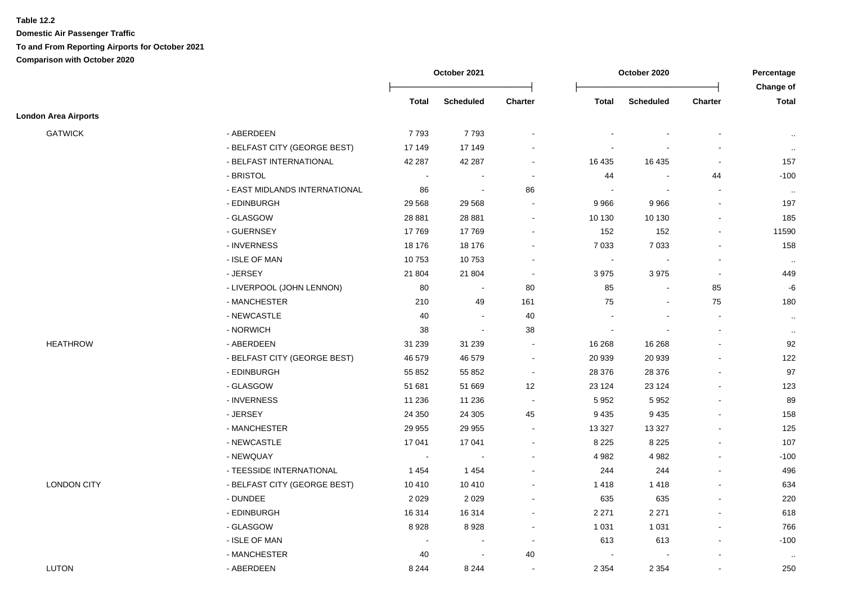|                             |                               |                | October 2021             |                |                          | October 2020             |                          | Percentage                |
|-----------------------------|-------------------------------|----------------|--------------------------|----------------|--------------------------|--------------------------|--------------------------|---------------------------|
|                             |                               | Total          | Scheduled                | Charter        | Total                    | <b>Scheduled</b>         | Charter                  | Change of<br><b>Total</b> |
| <b>London Area Airports</b> |                               |                |                          |                |                          |                          |                          |                           |
| <b>GATWICK</b>              | - ABERDEEN                    | 7793           | 7793                     |                |                          |                          |                          | $\ddotsc$                 |
|                             | - BELFAST CITY (GEORGE BEST)  | 17 149         | 17 149                   |                |                          |                          | $\overline{a}$           | $\sim$                    |
|                             | - BELFAST INTERNATIONAL       | 42 287         | 42 287                   |                | 16 4 35                  | 16 4 35                  | $\blacksquare$           | 157                       |
|                             | - BRISTOL                     | $\sim$         |                          |                | 44                       |                          | 44                       | $-100$                    |
|                             | - EAST MIDLANDS INTERNATIONAL | 86             | $\sim$                   | 86             | $\overline{\phantom{a}}$ | $\overline{\phantom{a}}$ | $\blacksquare$           | $\sim$                    |
|                             | - EDINBURGH                   | 29 5 68        | 29 5 68                  | $\sim$         | 9966                     | 9966                     | $\mathbf{r}$             | 197                       |
|                             | - GLASGOW                     | 28 881         | 28 881                   | $\sim$         | 10 130                   | 10 130                   | $\blacksquare$           | 185                       |
|                             | - GUERNSEY                    | 17769          | 17769                    |                | 152                      | 152                      | $\blacksquare$           | 11590                     |
|                             | - INVERNESS                   | 18 176         | 18 176                   |                | 7 0 3 3                  | 7 0 3 3                  | $\blacksquare$           | 158                       |
|                             | - ISLE OF MAN                 | 10753          | 10753                    |                | $\blacksquare$           | $\overline{\phantom{a}}$ | $\blacksquare$           | $\sim$                    |
|                             | - JERSEY                      | 21 804         | 21 804                   | $\sim$         | 3975                     | 3 9 7 5                  | $\overline{\phantom{a}}$ | 449                       |
|                             | - LIVERPOOL (JOHN LENNON)     | 80             | $\overline{\phantom{a}}$ | 80             | 85                       |                          | 85                       | $-6$                      |
|                             | - MANCHESTER                  | 210            | 49                       | 161            | 75                       | $\overline{\phantom{a}}$ | 75                       | 180                       |
|                             | - NEWCASTLE                   | 40             | $\sim$                   | 40             |                          |                          | $\blacksquare$           | $\sim$                    |
|                             | - NORWICH                     | 38             | $\blacksquare$           | 38             |                          |                          | $\blacksquare$           | $\cdot\cdot$              |
| <b>HEATHROW</b>             | - ABERDEEN                    | 31 239         | 31 239                   | $\blacksquare$ | 16 268                   | 16 268                   | $\blacksquare$           | 92                        |
|                             | - BELFAST CITY (GEORGE BEST)  | 46 579         | 46 579                   | $\sim$         | 20 939                   | 20 939                   |                          | 122                       |
|                             | - EDINBURGH                   | 55 852         | 55 852                   | $\blacksquare$ | 28 376                   | 28 376                   |                          | 97                        |
|                             | - GLASGOW                     | 51 681         | 51 669                   | 12             | 23 1 24                  | 23 1 24                  | $\overline{\phantom{a}}$ | 123                       |
|                             | - INVERNESS                   | 11 236         | 11 236                   | $\sim$         | 5952                     | 5 9 5 2                  | $\blacksquare$           | 89                        |
|                             | - JERSEY                      | 24 350         | 24 30 5                  | 45             | 9 4 3 5                  | 9 4 3 5                  | $\blacksquare$           | 158                       |
|                             | - MANCHESTER                  | 29 955         | 29 955                   |                | 13 3 27                  | 13 3 27                  | $\blacksquare$           | 125                       |
|                             | - NEWCASTLE                   | 17 041         | 17 041                   |                | 8 2 2 5                  | 8 2 2 5                  |                          | 107                       |
|                             | - NEWQUAY                     | $\blacksquare$ |                          |                | 4982                     | 4 9 8 2                  |                          | $-100$                    |
|                             | - TEESSIDE INTERNATIONAL      | 1454           | 1 4 5 4                  |                | 244                      | 244                      |                          | 496                       |
| <b>LONDON CITY</b>          | - BELFAST CITY (GEORGE BEST)  | 10 4 10        | 10 410                   |                | 1418                     | 1418                     | $\blacksquare$           | 634                       |
|                             | - DUNDEE                      | 2029           | 2 0 2 9                  |                | 635                      | 635                      | $\blacksquare$           | 220                       |
|                             | - EDINBURGH                   | 16 3 14        | 16 314                   |                | 2 2 7 1                  | 2 2 7 1                  |                          | 618                       |
|                             | - GLASGOW                     | 8928           | 8928                     | $\sim$         | 1 0 3 1                  | 1 0 3 1                  | $\blacksquare$           | 766                       |
|                             | - ISLE OF MAN                 | $\sim$         | $\sim$                   | $\sim$         | 613                      | 613                      | $\blacksquare$           | $-100$                    |
|                             | - MANCHESTER                  | 40             |                          | 40             | $\blacksquare$           |                          | $\overline{a}$           | $\sim$                    |
| <b>LUTON</b>                | - ABERDEEN                    | 8 2 4 4        | 8 2 4 4                  |                | 2 3 5 4                  | 2 3 5 4                  | $\blacksquare$           | 250                       |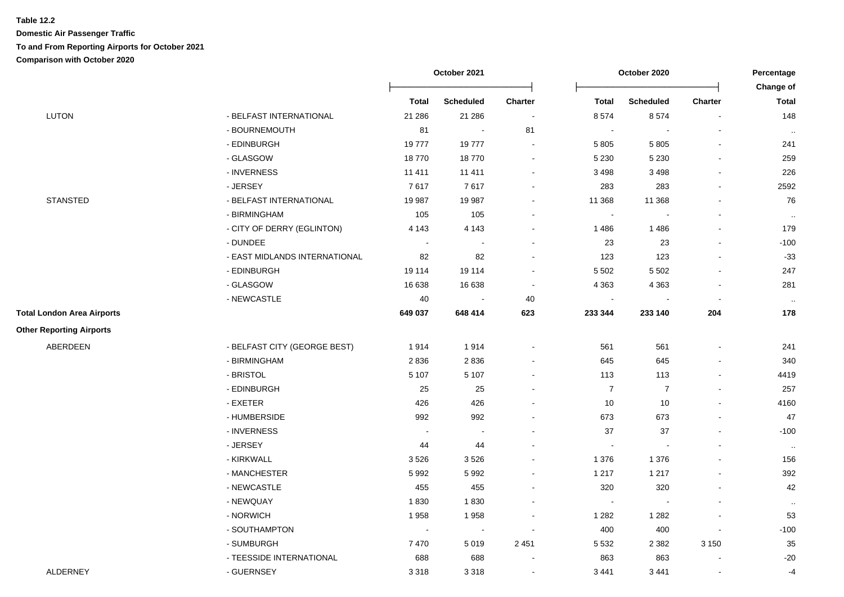|                                   |                               |                | October 2021     | October 2020             |                  | Percentage<br>Change of |                          |           |
|-----------------------------------|-------------------------------|----------------|------------------|--------------------------|------------------|-------------------------|--------------------------|-----------|
|                                   |                               | Total          | <b>Scheduled</b> | <b>Charter</b>           | <b>Total</b>     | <b>Scheduled</b>        | <b>Charter</b>           | Total     |
| LUTON                             | - BELFAST INTERNATIONAL       | 21 28 6        | 21 28 6          | $\sim$                   | 8574             | 8574                    | $\sim$                   | 148       |
|                                   | - BOURNEMOUTH                 | 81             | $\blacksquare$   | 81                       | $\sim$           |                         |                          |           |
|                                   | - EDINBURGH                   | 19777          | 19777            | $\blacksquare$           | 5 8 0 5          | 5 8 0 5                 |                          | 241       |
|                                   | - GLASGOW                     | 18770          | 18770            |                          | 5 2 3 0          | 5 2 3 0                 |                          | 259       |
|                                   | - INVERNESS                   | 11 411         | 11 411           |                          | 3 4 9 8          | 3 4 9 8                 |                          | 226       |
|                                   | - JERSEY                      | 7617           | 7617             | $\blacksquare$           | 283              | 283                     |                          | 2592      |
| <b>STANSTED</b>                   | - BELFAST INTERNATIONAL       | 19 987         | 19 987           | $\blacksquare$           | 11 368           | 11 368                  |                          | 76        |
|                                   | - BIRMINGHAM                  | 105            | 105              | $\blacksquare$           | $\blacksquare$   |                         |                          | $\sim$    |
|                                   | - CITY OF DERRY (EGLINTON)    | 4 1 4 3        | 4 1 4 3          | $\blacksquare$           | 1486             | 1486                    |                          | 179       |
|                                   | - DUNDEE                      | $\blacksquare$ | $\blacksquare$   | $\blacksquare$           | 23               | 23                      |                          | $-100$    |
|                                   | - EAST MIDLANDS INTERNATIONAL | 82             | 82               |                          | 123              | 123                     |                          | $-33$     |
|                                   | - EDINBURGH                   | 19 114         | 19 114           | $\blacksquare$           | 5 5 0 2          | 5 5 0 2                 |                          | 247       |
|                                   | - GLASGOW                     | 16 638         | 16 638           | $\blacksquare$           | 4 3 6 3          | 4 3 6 3                 | $\blacksquare$           | 281       |
|                                   | - NEWCASTLE                   | 40             | $\blacksquare$   | 40                       | $\blacksquare$   | $\blacksquare$          |                          | $\sim$    |
| <b>Total London Area Airports</b> |                               | 649 037        | 648 414          | 623                      | 233 344          | 233 140                 | 204                      | 178       |
| <b>Other Reporting Airports</b>   |                               |                |                  |                          |                  |                         |                          |           |
| ABERDEEN                          | - BELFAST CITY (GEORGE BEST)  | 1914           | 1914             | $\blacksquare$           | 561              | 561                     |                          | 241       |
|                                   | - BIRMINGHAM                  | 2836           | 2836             |                          | 645              | 645                     |                          | 340       |
|                                   | - BRISTOL                     | 5 1 0 7        | 5 1 0 7          | $\blacksquare$           | 113              | 113                     |                          | 4419      |
|                                   | - EDINBURGH                   | 25             | 25               |                          | $\boldsymbol{7}$ | $\overline{7}$          |                          | 257       |
|                                   | - EXETER                      | 426            | 426              |                          | 10               | 10                      |                          | 4160      |
|                                   | - HUMBERSIDE                  | 992            | 992              |                          | 673              | 673                     |                          | 47        |
|                                   | - INVERNESS                   |                |                  |                          | 37               | 37                      |                          | $-100$    |
|                                   | - JERSEY                      | 44             | 44               |                          | $\sim$           |                         |                          | $\sim$    |
|                                   | - KIRKWALL                    | 3526           | 3526             |                          | 1 3 7 6          | 1 3 7 6                 |                          | 156       |
|                                   | - MANCHESTER                  | 5 9 9 2        | 5 9 9 2          |                          | 1 2 1 7          | 1 2 1 7                 |                          | 392       |
|                                   | - NEWCASTLE                   | 455            | 455              | $\blacksquare$           | 320              | 320                     |                          | 42        |
|                                   | - NEWQUAY                     | 1830           | 1830             | $\blacksquare$           | $\sim$           |                         |                          | $\cdot$ . |
|                                   | - NORWICH                     | 1958           | 1958             |                          | 1 2 8 2          | 1 2 8 2                 |                          | 53        |
|                                   | - SOUTHAMPTON                 | $\sim$         | $\sim$           | $\blacksquare$           | 400              | 400                     |                          | $-100$    |
|                                   | - SUMBURGH                    | 7470           | 5 0 1 9          | 2451                     | 5 5 3 2          | 2 3 8 2                 | 3 1 5 0                  | 35        |
|                                   | - TEESSIDE INTERNATIONAL      | 688            | 688              |                          | 863              | 863                     |                          | $-20$     |
| <b>ALDERNEY</b>                   | - GUERNSEY                    | 3 3 1 8        | 3 3 1 8          | $\overline{\phantom{a}}$ | 3441             | 3 4 4 1                 | $\overline{\phantom{a}}$ | $-4$      |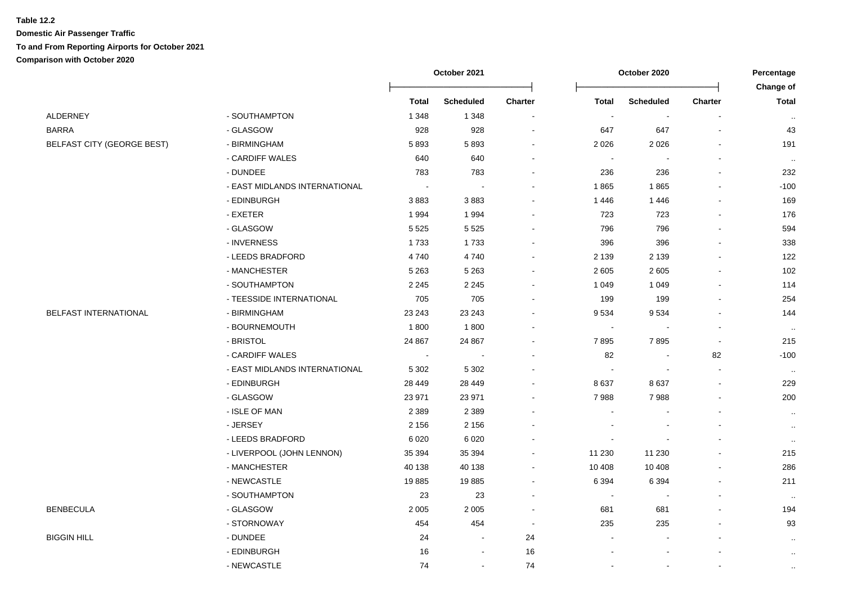|                                   |                               | October 2021 |                          |                          | October 2020   |                  |                |                           |
|-----------------------------------|-------------------------------|--------------|--------------------------|--------------------------|----------------|------------------|----------------|---------------------------|
|                                   |                               | <b>Total</b> | <b>Scheduled</b>         | Charter                  | <b>Total</b>   | <b>Scheduled</b> | <b>Charter</b> | Change of<br><b>Total</b> |
| <b>ALDERNEY</b>                   | - SOUTHAMPTON                 | 1 3 4 8      | 1 3 4 8                  | $\blacksquare$           | $\blacksquare$ | $\sim$           | $\blacksquare$ | $\sim$                    |
| <b>BARRA</b>                      | - GLASGOW                     | 928          | 928                      | $\overline{\phantom{a}}$ | 647            | 647              |                | 43                        |
| <b>BELFAST CITY (GEORGE BEST)</b> | - BIRMINGHAM                  | 5893         | 5893                     |                          | 2 0 2 6        | 2026             |                | 191                       |
|                                   | - CARDIFF WALES               | 640          | 640                      |                          |                |                  |                | $\sim$                    |
|                                   | - DUNDEE                      | 783          | 783                      |                          | 236            | 236              |                | 232                       |
|                                   | - EAST MIDLANDS INTERNATIONAL | $\sim$       | $\sim$                   |                          | 1865           | 1865             |                | $-100$                    |
|                                   | - EDINBURGH                   | 3883         | 3883                     |                          | 1446           | 1446             |                | 169                       |
|                                   | - EXETER                      | 1994         | 1 9 9 4                  |                          | 723            | 723              | $\sim$         | 176                       |
|                                   | - GLASGOW                     | 5 5 2 5      | 5 5 2 5                  |                          | 796            | 796              |                | 594                       |
|                                   | - INVERNESS                   | 1733         | 1733                     |                          | 396            | 396              |                | 338                       |
|                                   | - LEEDS BRADFORD              | 4740         | 4740                     | $\overline{\phantom{a}}$ | 2 1 3 9        | 2 1 3 9          |                | 122                       |
|                                   | - MANCHESTER                  | 5 2 6 3      | 5 2 6 3                  | $\overline{\phantom{a}}$ | 2605           | 2605             | $\blacksquare$ | 102                       |
|                                   | - SOUTHAMPTON                 | 2 2 4 5      | 2 2 4 5                  |                          | 1 0 4 9        | 1 0 4 9          |                | 114                       |
|                                   | - TEESSIDE INTERNATIONAL      | 705          | 705                      |                          | 199            | 199              |                | 254                       |
| BELFAST INTERNATIONAL             | - BIRMINGHAM                  | 23 24 3      | 23 24 3                  |                          | 9534           | 9534             |                | 144                       |
|                                   | - BOURNEMOUTH                 | 1800         | 1800                     |                          | $\blacksquare$ |                  | $\sim$         | $\sim$                    |
|                                   | - BRISTOL                     | 24 867       | 24 867                   |                          | 7895           | 7895             |                | 215                       |
|                                   | - CARDIFF WALES               | $\sim$       | $\blacksquare$           | $\sim$                   | 82             |                  | 82             | $-100$                    |
|                                   | - EAST MIDLANDS INTERNATIONAL | 5 3 0 2      | 5 3 0 2                  |                          |                |                  | $\blacksquare$ | $\sim$                    |
|                                   | - EDINBURGH                   | 28 4 4 9     | 28 449                   |                          | 8637           | 8637             | $\blacksquare$ | 229                       |
|                                   | - GLASGOW                     | 23 971       | 23 971                   |                          | 7988           | 7988             |                | 200                       |
|                                   | - ISLE OF MAN                 | 2 3 8 9      | 2 3 8 9                  |                          |                |                  |                | $\cdot$ .                 |
|                                   | - JERSEY                      | 2 1 5 6      | 2 1 5 6                  |                          |                |                  | $\sim$         | $\cdot$ .                 |
|                                   | - LEEDS BRADFORD              | 6 0 20       | 6 0 20                   |                          |                |                  |                | $\ldots$                  |
|                                   | - LIVERPOOL (JOHN LENNON)     | 35 394       | 35 394                   |                          | 11 230         | 11 230           |                | 215                       |
|                                   | - MANCHESTER                  | 40 138       | 40 138                   |                          | 10 408         | 10 408           |                | 286                       |
|                                   | - NEWCASTLE                   | 19885        | 19885                    |                          | 6 3 9 4        | 6 3 9 4          |                | 211                       |
|                                   | - SOUTHAMPTON                 | 23           | 23                       | $\blacksquare$           |                |                  |                | $\sim$                    |
| <b>BENBECULA</b>                  | - GLASGOW                     | 2 0 0 5      | 2 0 0 5                  | $\overline{\phantom{a}}$ | 681            | 681              |                | 194                       |
|                                   | - STORNOWAY                   | 454          | 454                      | $\blacksquare$           | 235            | 235              |                | 93                        |
| <b>BIGGIN HILL</b>                | - DUNDEE                      | 24           | $\sim$                   | 24                       |                |                  |                | $\cdot$                   |
|                                   | - EDINBURGH                   | 16           | $\overline{\phantom{a}}$ | 16                       |                |                  |                | $\cdot$ .                 |
|                                   | - NEWCASTLE                   | 74           | $\blacksquare$           | 74                       |                |                  | $\blacksquare$ | $\cdot$ .                 |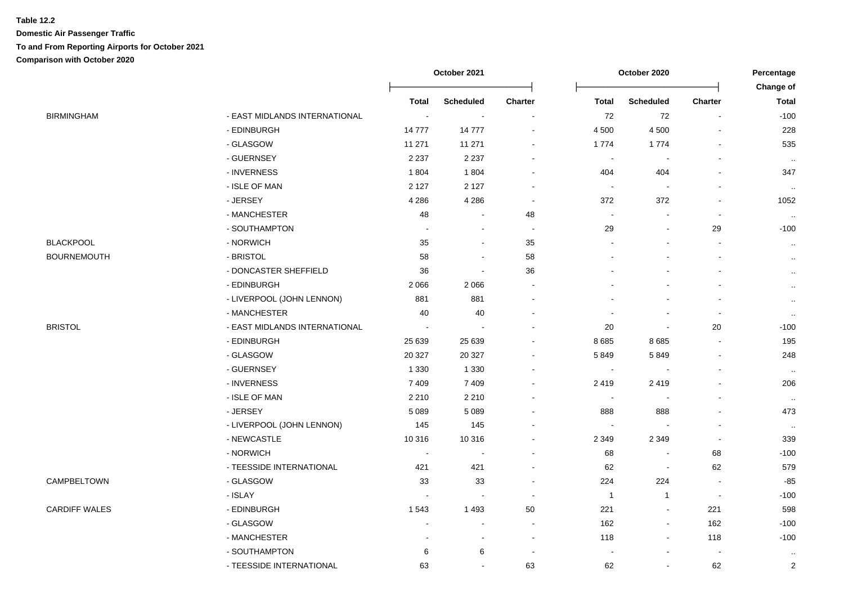|                    |                               | October 2021   |                  |                          | October 2020             |                          |                          |                                  |
|--------------------|-------------------------------|----------------|------------------|--------------------------|--------------------------|--------------------------|--------------------------|----------------------------------|
|                    |                               | <b>Total</b>   | <b>Scheduled</b> | Charter                  | <b>Total</b>             | <b>Scheduled</b>         | Charter                  | <b>Change of</b><br><b>Total</b> |
| BIRMINGHAM         | - EAST MIDLANDS INTERNATIONAL | $\blacksquare$ | $\blacksquare$   | $\blacksquare$           | 72                       | 72                       | $\blacksquare$           | $-100$                           |
|                    | - EDINBURGH                   | 14777          | 14777            |                          | 4 500                    | 4 500                    |                          | 228                              |
|                    | - GLASGOW                     | 11 271         | 11 271           |                          | 1774                     | 1774                     |                          | 535                              |
|                    | - GUERNSEY                    | 2 2 3 7        | 2 2 3 7          |                          | $\blacksquare$           | $\sim$                   |                          | $\sim$                           |
|                    | - INVERNESS                   | 1804           | 1 804            |                          | 404                      | 404                      |                          | 347                              |
|                    | - ISLE OF MAN                 | 2 1 2 7        | 2 1 2 7          |                          | $\sim$                   |                          |                          | $\sim$                           |
|                    | - JERSEY                      | 4 2 8 6        | 4 2 8 6          | $\overline{\phantom{a}}$ | 372                      | 372                      |                          | 1052                             |
|                    | - MANCHESTER                  | 48             |                  | 48                       | $\blacksquare$           |                          |                          | $\sim$                           |
|                    | - SOUTHAMPTON                 | $\sim$         | $\blacksquare$   |                          | 29                       | $\blacksquare$           | 29                       | $-100$                           |
| <b>BLACKPOOL</b>   | - NORWICH                     | 35             | ۰                | 35                       |                          |                          |                          | $\sim$                           |
| <b>BOURNEMOUTH</b> | - BRISTOL                     | 58             | $\blacksquare$   | 58                       |                          |                          |                          | $\ldots$                         |
|                    | - DONCASTER SHEFFIELD         | 36             | $\blacksquare$   | 36                       |                          |                          |                          | $\ldots$                         |
|                    | - EDINBURGH                   | 2066           | 2 0 6 6          |                          |                          |                          |                          | $\sim$                           |
|                    | - LIVERPOOL (JOHN LENNON)     | 881            | 881              |                          |                          |                          |                          | $\sim$                           |
|                    | - MANCHESTER                  | 40             | 40               |                          |                          | $\overline{\phantom{a}}$ |                          | $\sim$                           |
| BRISTOL            | - EAST MIDLANDS INTERNATIONAL | $\sim$         |                  |                          | 20                       | $\blacksquare$           | 20                       | $-100$                           |
|                    | - EDINBURGH                   | 25 639         | 25 639           |                          | 8685                     | 8 6 8 5                  |                          | 195                              |
|                    | - GLASGOW                     | 20 3 27        | 20 327           |                          | 5849                     | 5849                     |                          | 248                              |
|                    | - GUERNSEY                    | 1 3 3 0        | 1 3 3 0          |                          | $\overline{\phantom{a}}$ |                          |                          | $\sim$                           |
|                    | - INVERNESS                   | 7409           | 7 4 0 9          |                          | 2419                     | 2419                     |                          | 206                              |
|                    | - ISLE OF MAN                 | 2 2 1 0        | 2 2 1 0          |                          | $\overline{\phantom{a}}$ | $\overline{\phantom{a}}$ |                          | $\sim$                           |
|                    | - JERSEY                      | 5 0 8 9        | 5 0 8 9          |                          | 888                      | 888                      |                          | 473                              |
|                    | - LIVERPOOL (JOHN LENNON)     | 145            | 145              |                          |                          |                          |                          | $\sim$                           |
|                    | - NEWCASTLE                   | 10 316         | 10 316           |                          | 2 3 4 9                  | 2 3 4 9                  |                          | 339                              |
|                    | - NORWICH                     | $\blacksquare$ | $\blacksquare$   |                          | 68                       | $\blacksquare$           | 68                       | $-100$                           |
|                    | - TEESSIDE INTERNATIONAL      | 421            | 421              | $\overline{\phantom{a}}$ | 62                       | $\overline{\phantom{a}}$ | 62                       | 579                              |
| CAMPBELTOWN        | - GLASGOW                     | 33             | 33               |                          | 224                      | 224                      | $\blacksquare$           | -85                              |
|                    | - ISLAY                       | $\blacksquare$ |                  |                          | $\overline{1}$           | $\mathbf{1}$             | $\blacksquare$           | $-100$                           |
| CARDIFF WALES      | - EDINBURGH                   | 1543           | 1 4 9 3          | 50                       | 221                      | $\blacksquare$           | 221                      | 598                              |
|                    | - GLASGOW                     |                |                  | $\overline{\phantom{a}}$ | 162                      | $\blacksquare$           | 162                      | $-100$                           |
|                    | - MANCHESTER                  |                | $\sim$           | $\overline{\phantom{a}}$ | 118                      | $\blacksquare$           | 118                      | $-100$                           |
|                    | - SOUTHAMPTON                 | 6              | 6                | $\overline{\phantom{a}}$ |                          | $\blacksquare$           | $\overline{\phantom{a}}$ | $\cdot$ .                        |
|                    | - TEESSIDE INTERNATIONAL      | 63             | $\sim$           | 63                       | 62                       | $\blacksquare$           | 62                       | $\sqrt{2}$                       |
|                    |                               |                |                  |                          |                          |                          |                          |                                  |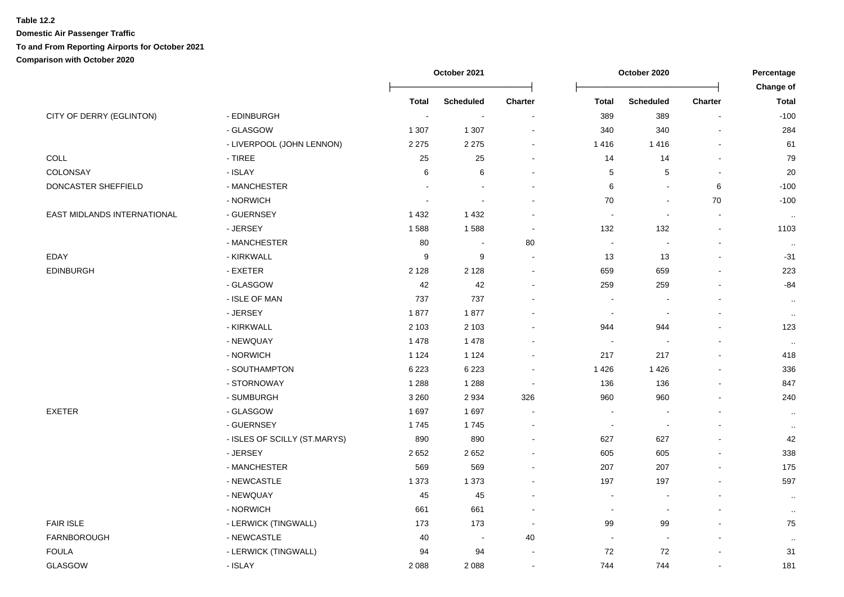|                             |                              | October 2021<br>October 2020 |                          | Percentage |                          |                          |                          |                           |
|-----------------------------|------------------------------|------------------------------|--------------------------|------------|--------------------------|--------------------------|--------------------------|---------------------------|
|                             |                              | <b>Total</b>                 | <b>Scheduled</b>         | Charter    | <b>Total</b>             | <b>Scheduled</b>         | Charter                  | Change of<br><b>Total</b> |
| CITY OF DERRY (EGLINTON)    | - EDINBURGH                  | $\blacksquare$               | $\overline{\phantom{a}}$ |            | 389                      | 389                      |                          | $-100$                    |
|                             | - GLASGOW                    | 1 3 0 7                      | 1 3 0 7                  |            | 340                      | 340                      |                          | 284                       |
|                             | - LIVERPOOL (JOHN LENNON)    | 2 2 7 5                      | 2 2 7 5                  |            | 1416                     | 1416                     |                          | 61                        |
| COLL                        | $-$ TIREE                    | 25                           | 25                       |            | 14                       | 14                       |                          | 79                        |
| COLONSAY                    | - ISLAY                      | 6                            | 6                        |            | 5                        | 5                        |                          | 20                        |
| DONCASTER SHEFFIELD         | - MANCHESTER                 |                              |                          |            | 6                        | $\blacksquare$           | 6                        | $-100$                    |
|                             | - NORWICH                    |                              |                          |            | $70\,$                   | $\overline{\phantom{a}}$ | $70\,$                   | $-100$                    |
| EAST MIDLANDS INTERNATIONAL | - GUERNSEY                   | 1432                         | 1 4 3 2                  |            |                          | $\overline{\phantom{a}}$ | $\overline{\phantom{a}}$ | $\sim$                    |
|                             | - JERSEY                     | 1588                         | 1588                     |            | 132                      | 132                      | $\blacksquare$           | 1103                      |
|                             | - MANCHESTER                 | 80                           |                          | 80         | $\blacksquare$           | $\blacksquare$           | $\blacksquare$           | $\sim$                    |
| <b>EDAY</b>                 | - KIRKWALL                   | 9                            | 9                        |            | 13                       | 13                       | $\blacksquare$           | $-31$                     |
| <b>EDINBURGH</b>            | - EXETER                     | 2 1 2 8                      | 2 1 2 8                  |            | 659                      | 659                      |                          | 223                       |
|                             | - GLASGOW                    | 42                           | 42                       |            | 259                      | 259                      |                          | $-84$                     |
|                             | - ISLE OF MAN                | 737                          | 737                      |            |                          |                          |                          | $\sim$                    |
|                             | - JERSEY                     | 1877                         | 1877                     |            | $\overline{\phantom{a}}$ | $\overline{\phantom{a}}$ |                          | $\ldots$                  |
|                             | - KIRKWALL                   | 2 1 0 3                      | 2 1 0 3                  |            | 944                      | 944                      |                          | 123                       |
|                             | - NEWQUAY                    | 1478                         | 1 4 7 8                  |            |                          |                          |                          | $\sim$                    |
|                             | - NORWICH                    | 1 1 2 4                      | 1 1 2 4                  |            | 217                      | 217                      |                          | 418                       |
|                             | - SOUTHAMPTON                | 6 2 2 3                      | 6 2 2 3                  |            | 1426                     | 1426                     |                          | 336                       |
|                             | - STORNOWAY                  | 1 2 8 8                      | 1 2 8 8                  |            | 136                      | 136                      |                          | 847                       |
|                             | - SUMBURGH                   | 3 2 6 0                      | 2 9 3 4                  | 326        | 960                      | 960                      |                          | 240                       |
| <b>EXETER</b>               | - GLASGOW                    | 1697                         | 1 6 9 7                  |            |                          |                          |                          | $\ldots$                  |
|                             | - GUERNSEY                   | 1745                         | 1745                     |            | $\overline{\phantom{a}}$ | $\overline{\phantom{a}}$ |                          | $\sim$                    |
|                             | - ISLES OF SCILLY (ST.MARYS) | 890                          | 890                      |            | 627                      | 627                      |                          | 42                        |
|                             | - JERSEY                     | 2652                         | 2 6 5 2                  |            | 605                      | 605                      |                          | 338                       |
|                             | - MANCHESTER                 | 569                          | 569                      |            | 207                      | 207                      |                          | 175                       |
|                             | - NEWCASTLE                  | 1 3 7 3                      | 1 3 7 3                  |            | 197                      | 197                      |                          | 597                       |
|                             | - NEWQUAY                    | 45                           | 45                       |            |                          |                          |                          | $\sim$                    |
|                             | - NORWICH                    | 661                          | 661                      |            | $\overline{\phantom{a}}$ | $\sim$                   |                          | $\ddotsc$                 |
| <b>FAIR ISLE</b>            | - LERWICK (TINGWALL)         | 173                          | 173                      |            | 99                       | 99                       |                          | 75                        |
| <b>FARNBOROUGH</b>          | - NEWCASTLE                  | 40                           | $\sim$                   | 40         |                          | $\sim$                   |                          | $\ddotsc$                 |
| <b>FOULA</b>                | - LERWICK (TINGWALL)         | 94                           | 94                       |            | 72                       | 72                       |                          | 31                        |
| GLASGOW                     | - ISLAY                      | 2088                         | 2 0 8 8                  |            | 744                      | 744                      |                          | 181                       |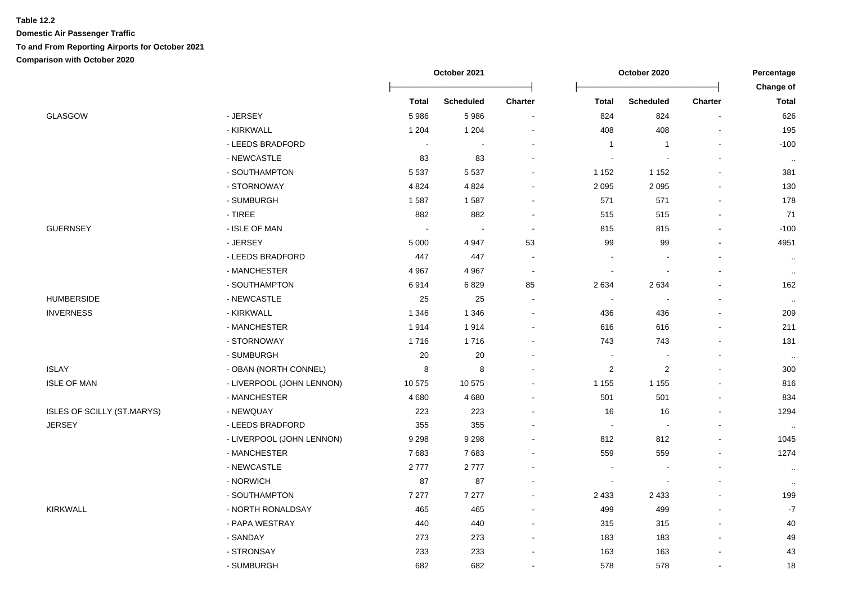|                                   |                           | October 2021 |                  | October 2020   |                          |                          | Percentage     |                           |
|-----------------------------------|---------------------------|--------------|------------------|----------------|--------------------------|--------------------------|----------------|---------------------------|
|                                   |                           | <b>Total</b> | <b>Scheduled</b> | <b>Charter</b> | <b>Total</b>             | <b>Scheduled</b>         | <b>Charter</b> | Change of<br><b>Total</b> |
| <b>GLASGOW</b>                    | - JERSEY                  | 5986         | 5 9 8 6          |                | 824                      | 824                      | $\blacksquare$ | 626                       |
|                                   | - KIRKWALL                | 1 2 0 4      | 1 2 0 4          |                | 408                      | 408                      |                | 195                       |
|                                   | - LEEDS BRADFORD          | $\sim$       |                  |                | $\overline{1}$           | $\mathbf{1}$             |                | $-100$                    |
|                                   | - NEWCASTLE               | 83           | 83               |                |                          |                          |                | $\sim$                    |
|                                   | - SOUTHAMPTON             | 5 5 3 7      | 5 5 3 7          |                | 1 1 5 2                  | 1 1 5 2                  |                | 381                       |
|                                   | - STORNOWAY               | 4 8 2 4      | 4 8 24           |                | 2095                     | 2 0 9 5                  |                | 130                       |
|                                   | - SUMBURGH                | 1587         | 1587             |                | 571                      | 571                      |                | 178                       |
|                                   | - TIREE                   | 882          | 882              |                | 515                      | 515                      |                | 71                        |
| <b>GUERNSEY</b>                   | - ISLE OF MAN             |              |                  |                | 815                      | 815                      |                | $-100$                    |
|                                   | - JERSEY                  | 5 0 0 0      | 4 9 4 7          | 53             | 99                       | 99                       | $\blacksquare$ | 4951                      |
|                                   | - LEEDS BRADFORD          | 447          | 447              |                |                          |                          |                | $\sim$                    |
|                                   | - MANCHESTER              | 4 9 67       | 4 9 67           |                | $\blacksquare$           | $\blacksquare$           |                | $\sim$                    |
|                                   | - SOUTHAMPTON             | 6914         | 6829             | 85             | 2634                     | 2634                     |                | 162                       |
| <b>HUMBERSIDE</b>                 | - NEWCASTLE               | 25           | 25               |                | $\overline{\phantom{a}}$ |                          |                | $\sim$                    |
| <b>INVERNESS</b>                  | - KIRKWALL                | 1 3 4 6      | 1 3 4 6          |                | 436                      | 436                      |                | 209                       |
|                                   | - MANCHESTER              | 1914         | 1914             |                | 616                      | 616                      |                | 211                       |
|                                   | - STORNOWAY               | 1716         | 1716             |                | 743                      | 743                      |                | 131                       |
|                                   | - SUMBURGH                | 20           | 20               |                |                          | $\blacksquare$           |                | $\sim$                    |
| <b>ISLAY</b>                      | - OBAN (NORTH CONNEL)     | 8            | 8                |                | $\overline{\mathbf{c}}$  | $\overline{\mathbf{c}}$  |                | 300                       |
| <b>ISLE OF MAN</b>                | - LIVERPOOL (JOHN LENNON) | 10575        | 10 575           |                | 1 1 5 5                  | 1 1 5 5                  |                | 816                       |
|                                   | - MANCHESTER              | 4680         | 4 6 8 0          |                | 501                      | 501                      |                | 834                       |
| <b>ISLES OF SCILLY (ST.MARYS)</b> | - NEWQUAY                 | 223          | 223              |                | 16                       | 16                       |                | 1294                      |
| <b>JERSEY</b>                     | - LEEDS BRADFORD          | 355          | 355              |                | $\blacksquare$           | $\blacksquare$           |                | $\sim$                    |
|                                   | - LIVERPOOL (JOHN LENNON) | 9 2 9 8      | 9 2 9 8          |                | 812                      | 812                      | $\blacksquare$ | 1045                      |
|                                   | - MANCHESTER              | 7683         | 7683             |                | 559                      | 559                      | $\blacksquare$ | 1274                      |
|                                   | - NEWCASTLE               | 2777         | 2777             |                |                          | $\overline{\phantom{a}}$ |                | $\sim$                    |
|                                   | - NORWICH                 | 87           | 87               |                |                          |                          |                | $\ddotsc$                 |
|                                   | - SOUTHAMPTON             | 7 2 7 7      | 7 277            |                | 2 4 3 3                  | 2 4 3 3                  |                | 199                       |
| <b>KIRKWALL</b>                   | - NORTH RONALDSAY         | 465          | 465              |                | 499                      | 499                      |                | $\mathbf{-7}$             |
|                                   | - PAPA WESTRAY            | 440          | 440              |                | 315                      | 315                      |                | $40\,$                    |
|                                   | - SANDAY                  | 273          | 273              |                | 183                      | 183                      |                | 49                        |
|                                   | - STRONSAY                | 233          | 233              |                | 163                      | 163                      |                | 43                        |
|                                   | - SUMBURGH                | 682          | 682              |                | 578                      | 578                      |                | 18                        |